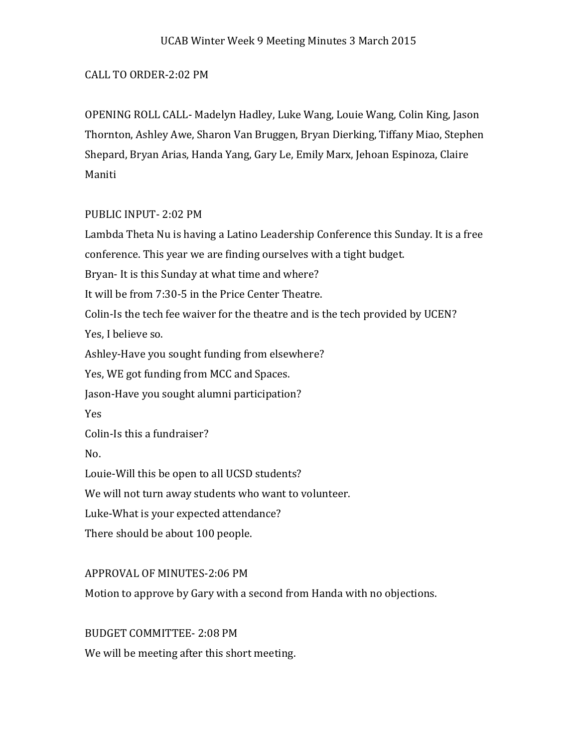#### CALL TO ORDER-2:02 PM

OPENING ROLL CALL- Madelyn Hadley, Luke Wang, Louie Wang, Colin King, Jason Thornton, Ashley Awe, Sharon Van Bruggen, Bryan Dierking, Tiffany Miao, Stephen Shepard, Bryan Arias, Handa Yang, Gary Le, Emily Marx, Jehoan Espinoza, Claire Maniti

### PUBLIC INPUT- 2:02 PM

Lambda Theta Nu is having a Latino Leadership Conference this Sunday. It is a free conference. This year we are finding ourselves with a tight budget. Bryan- It is this Sunday at what time and where? It will be from 7:30-5 in the Price Center Theatre. Colin-Is the tech fee waiver for the theatre and is the tech provided by UCEN? Yes, I believe so. Ashley-Have you sought funding from elsewhere? Yes, WE got funding from MCC and Spaces. Jason-Have you sought alumni participation? Yes Colin-Is this a fundraiser? No. Louie-Will this be open to all UCSD students? We will not turn away students who want to volunteer. Luke-What is your expected attendance? There should be about 100 people. APPROVAL OF MINUTES-2:06 PM

Motion to approve by Gary with a second from Handa with no objections.

BUDGET COMMITTEE- 2:08 PM We will be meeting after this short meeting.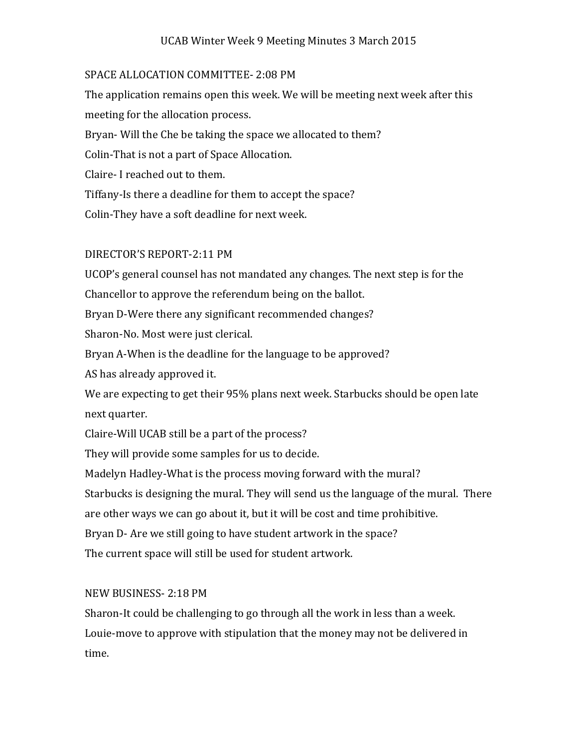### UCAB Winter Week 9 Meeting Minutes 3 March 2015

### SPACE ALLOCATION COMMITTEE- 2:08 PM

The application remains open this week. We will be meeting next week after this meeting for the allocation process. Bryan- Will the Che be taking the space we allocated to them? Colin-That is not a part of Space Allocation. Claire- I reached out to them. Tiffany-Is there a deadline for them to accept the space? Colin-They have a soft deadline for next week.

# DIRECTOR'S REPORT-2:11 PM

UCOP's general counsel has not mandated any changes. The next step is for the Chancellor to approve the referendum being on the ballot. Bryan D-Were there any significant recommended changes? Sharon-No. Most were just clerical. Bryan A-When is the deadline for the language to be approved? AS has already approved it. We are expecting to get their 95% plans next week. Starbucks should be open late next quarter. Claire-Will UCAB still be a part of the process? They will provide some samples for us to decide. Madelyn Hadley-What is the process moving forward with the mural? Starbucks is designing the mural. They will send us the language of the mural. There are other ways we can go about it, but it will be cost and time prohibitive. Bryan D- Are we still going to have student artwork in the space? The current space will still be used for student artwork.

# NEW BUSINESS- 2:18 PM

Sharon-It could be challenging to go through all the work in less than a week. Louie-move to approve with stipulation that the money may not be delivered in time.